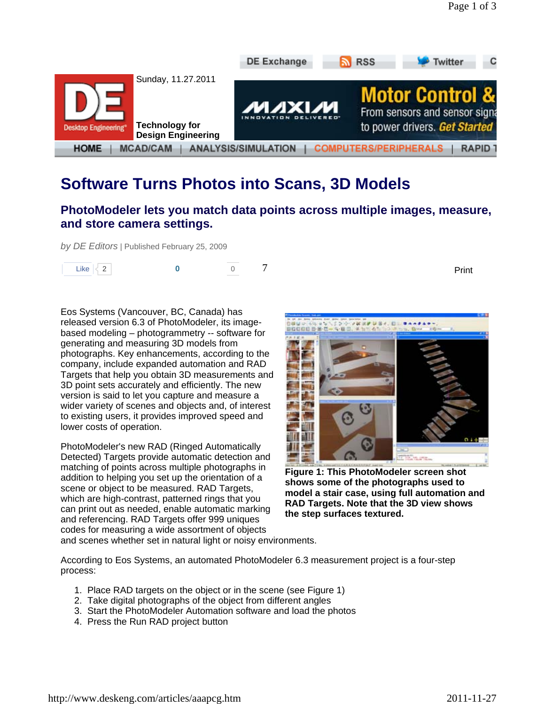

# **Software Turns Photos into Scans, 3D Models**

### **PhotoModeler lets you match data points across multiple images, measure, and store camera settings.**

*by DE Editors* | Published February 25, 2009



Eos Systems (Vancouver, BC, Canada) has released version 6.3 of PhotoModeler, its imagebased modeling – photogrammetry -- software for generating and measuring 3D models from photographs. Key enhancements, according to the company, include expanded automation and RAD Targets that help you obtain 3D measurements and 3D point sets accurately and efficiently. The new version is said to let you capture and measure a wider variety of scenes and objects and, of interest to existing users, it provides improved speed and lower costs of operation.

PhotoModeler's new RAD (Ringed Automatically Detected) Targets provide automatic detection and matching of points across multiple photographs in addition to helping you set up the orientation of a scene or object to be measured. RAD Targets, which are high-contrast, patterned rings that you can print out as needed, enable automatic marking and referencing. RAD Targets offer 999 uniques codes for measuring a wide assortment of objects



**Figure 1: This PhotoModeler screen shot shows some of the photographs used to model a stair case, using full automation and RAD Targets. Note that the 3D view shows the step surfaces textured.**

and scenes whether set in natural light or noisy environments.

According to Eos Systems, an automated PhotoModeler 6.3 measurement project is a four-step process:

- 1. Place RAD targets on the object or in the scene (see Figure 1)
- 2. Take digital photographs of the object from different angles
- 3. Start the PhotoModeler Automation software and load the photos
- 4. Press the Run RAD project button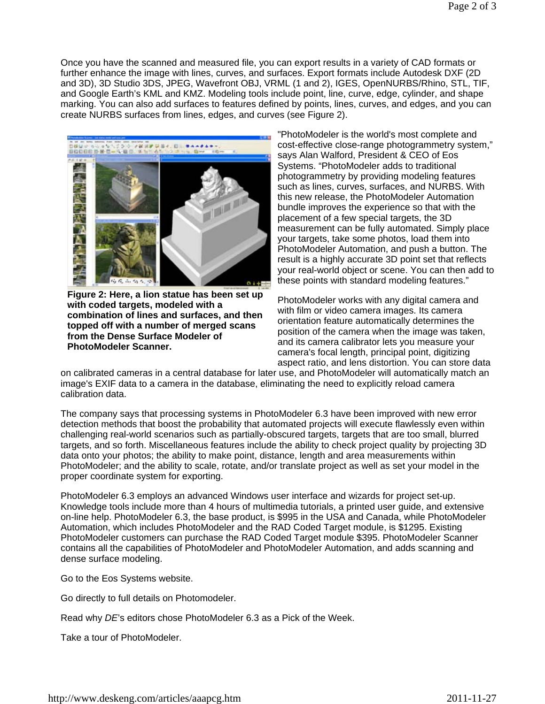Once you have the scanned and measured file, you can export results in a variety of CAD formats or further enhance the image with lines, curves, and surfaces. Export formats include Autodesk DXF (2D and 3D), 3D Studio 3DS, JPEG, Wavefront OBJ, VRML (1 and 2), IGES, OpenNURBS/Rhino, STL, TIF, and Google Earth's KML and KMZ. Modeling tools include point, line, curve, edge, cylinder, and shape marking. You can also add surfaces to features defined by points, lines, curves, and edges, and you can create NURBS surfaces from lines, edges, and curves (see Figure 2).



**Figure 2: Here, a lion statue has been set up with coded targets, modeled with a combination of lines and surfaces, and then topped off with a number of merged scans from the Dense Surface Modeler of PhotoModeler Scanner.**

"PhotoModeler is the world's most complete and cost-effective close-range photogrammetry system," says Alan Walford, President & CEO of Eos Systems. "PhotoModeler adds to traditional photogrammetry by providing modeling features such as lines, curves, surfaces, and NURBS. With this new release, the PhotoModeler Automation bundle improves the experience so that with the placement of a few special targets, the 3D measurement can be fully automated. Simply place your targets, take some photos, load them into PhotoModeler Automation, and push a button. The result is a highly accurate 3D point set that reflects your real-world object or scene. You can then add to these points with standard modeling features."

PhotoModeler works with any digital camera and with film or video camera images. Its camera orientation feature automatically determines the position of the camera when the image was taken, and its camera calibrator lets you measure your camera's focal length, principal point, digitizing aspect ratio, and lens distortion. You can store data

on calibrated cameras in a central database for later use, and PhotoModeler will automatically match an image's EXIF data to a camera in the database, eliminating the need to explicitly reload camera calibration data.

The company says that processing systems in PhotoModeler 6.3 have been improved with new error detection methods that boost the probability that automated projects will execute flawlessly even within challenging real-world scenarios such as partially-obscured targets, targets that are too small, blurred targets, and so forth. Miscellaneous features include the ability to check project quality by projecting 3D data onto your photos; the ability to make point, distance, length and area measurements within PhotoModeler; and the ability to scale, rotate, and/or translate project as well as set your model in the proper coordinate system for exporting.

PhotoModeler 6.3 employs an advanced Windows user interface and wizards for project set-up. Knowledge tools include more than 4 hours of multimedia tutorials, a printed user guide, and extensive on-line help. PhotoModeler 6.3, the base product, is \$995 in the USA and Canada, while PhotoModeler Automation, which includes PhotoModeler and the RAD Coded Target module, is \$1295. Existing PhotoModeler customers can purchase the RAD Coded Target module \$395. PhotoModeler Scanner contains all the capabilities of PhotoModeler and PhotoModeler Automation, and adds scanning and dense surface modeling.

Go to the Eos Systems website.

Go directly to full details on Photomodeler.

Read why *DE*'s editors chose PhotoModeler 6.3 as a Pick of the Week.

Take a tour of PhotoModeler.